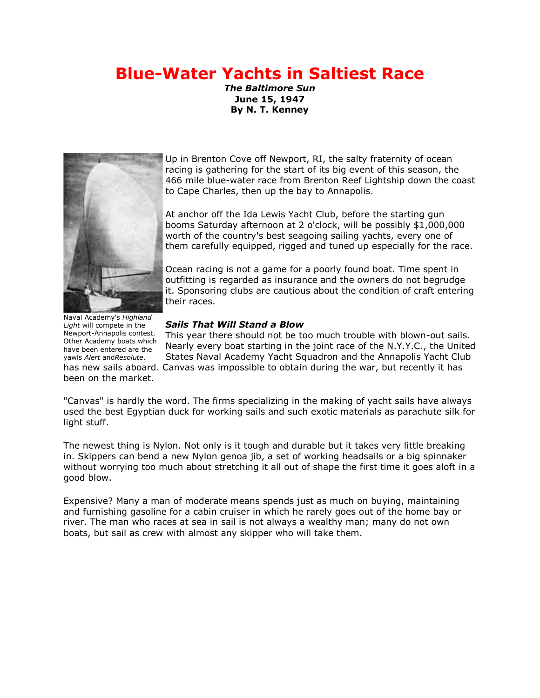# **Blue-Water Yachts in Saltiest Race**

*The Baltimore Sun* **June 15, 1947 By N. T. Kenney**



Up in Brenton Cove off Newport, RI, the salty fraternity of ocean racing is gathering for the start of its big event of this season, the 466 mile blue-water race from Brenton Reef Lightship down the coast to Cape Charles, then up the bay to Annapolis.

At anchor off the Ida Lewis Yacht Club, before the starting gun booms Saturday afternoon at 2 o'clock, will be possibly \$1,000,000 worth of the country's best seagoing sailing yachts, every one of them carefully equipped, rigged and tuned up especially for the race.

Ocean racing is not a game for a poorly found boat. Time spent in outfitting is regarded as insurance and the owners do not begrudge it. Sponsoring clubs are cautious about the condition of craft entering their races.

*Sails That Will Stand a Blow*

This year there should not be too much trouble with blown-out sails. Nearly every boat starting in the joint race of the N.Y.Y.C., the United States Naval Academy Yacht Squadron and the Annapolis Yacht Club has new sails aboard. Canvas was impossible to obtain during the war, but recently it has

"Canvas" is hardly the word. The firms specializing in the making of yacht sails have always used the best Egyptian duck for working sails and such exotic materials as parachute silk for light stuff.

The newest thing is Nylon. Not only is it tough and durable but it takes very little breaking in. Skippers can bend a new Nylon genoa jib, a set of working headsails or a big spinnaker without worrying too much about stretching it all out of shape the first time it goes aloft in a good blow.

Expensive? Many a man of moderate means spends just as much on buying, maintaining and furnishing gasoline for a cabin cruiser in which he rarely goes out of the home bay or river. The man who races at sea in sail is not always a wealthy man; many do not own boats, but sail as crew with almost any skipper who will take them.

been on the market. Naval Academy's *Highland Light* will compete in the Newport-Annapolis contest. Other Academy boats which have been entered are the yawls *Alert* and*Resolute*.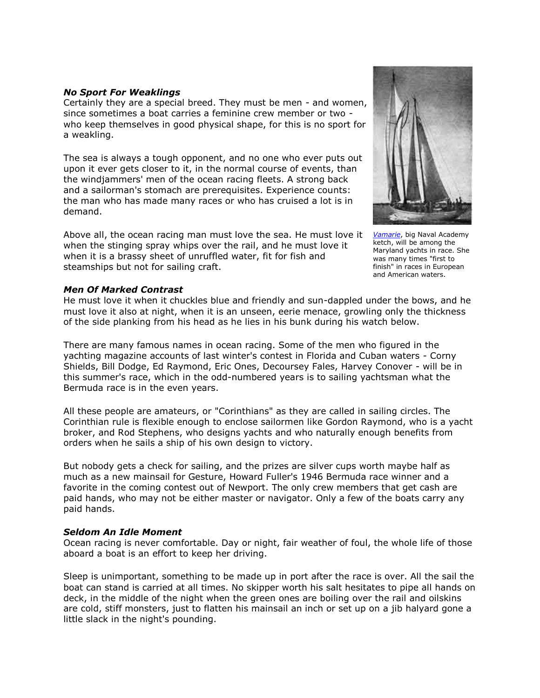## *No Sport For Weaklings*

Certainly they are a special breed. They must be men - and women, since sometimes a boat carries a feminine crew member or two who keep themselves in good physical shape, for this is no sport for a weakling.

The sea is always a tough opponent, and no one who ever puts out upon it ever gets closer to it, in the normal course of events, than the windjammers' men of the ocean racing fleets. A strong back and a sailorman's stomach are prerequisites. Experience counts: the man who has made many races or who has cruised a lot is in demand.

Above all, the ocean racing man must love the sea. He must love it when the stinging spray whips over the rail, and he must love it when it is a brassy sheet of unruffled water, fit for fish and steamships but not for sailing craft.



*[Vamarie](file://ayc-main/h/Extra%20Space/Communications%20Archive/race.annapolisyc.org/annapolisnewport/history.htm%23Note)*, big Naval Academy ketch, will be among the Maryland yachts in race. She was many times "first to finish" in races in European and American waters.

## *Men Of Marked Contrast*

He must love it when it chuckles blue and friendly and sun-dappled under the bows, and he must love it also at night, when it is an unseen, eerie menace, growling only the thickness of the side planking from his head as he lies in his bunk during his watch below.

There are many famous names in ocean racing. Some of the men who figured in the yachting magazine accounts of last winter's contest in Florida and Cuban waters - Corny Shields, Bill Dodge, Ed Raymond, Eric Ones, Decoursey Fales, Harvey Conover - will be in this summer's race, which in the odd-numbered years is to sailing yachtsman what the Bermuda race is in the even years.

All these people are amateurs, or "Corinthians" as they are called in sailing circles. The Corinthian rule is flexible enough to enclose sailormen like Gordon Raymond, who is a yacht broker, and Rod Stephens, who designs yachts and who naturally enough benefits from orders when he sails a ship of his own design to victory.

But nobody gets a check for sailing, and the prizes are silver cups worth maybe half as much as a new mainsail for Gesture, Howard Fuller's 1946 Bermuda race winner and a favorite in the coming contest out of Newport. The only crew members that get cash are paid hands, who may not be either master or navigator. Only a few of the boats carry any paid hands.

#### *Seldom An Idle Moment*

Ocean racing is never comfortable. Day or night, fair weather of foul, the whole life of those aboard a boat is an effort to keep her driving.

Sleep is unimportant, something to be made up in port after the race is over. All the sail the boat can stand is carried at all times. No skipper worth his salt hesitates to pipe all hands on deck, in the middle of the night when the green ones are boiling over the rail and oilskins are cold, stiff monsters, just to flatten his mainsail an inch or set up on a jib halyard gone a little slack in the night's pounding.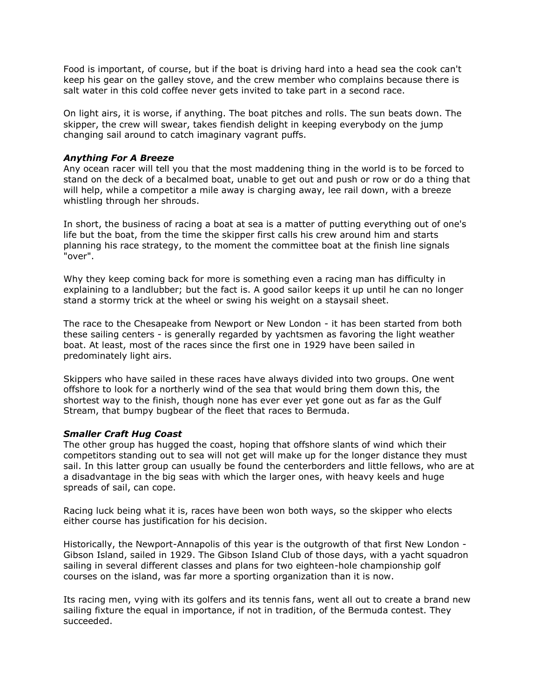Food is important, of course, but if the boat is driving hard into a head sea the cook can't keep his gear on the galley stove, and the crew member who complains because there is salt water in this cold coffee never gets invited to take part in a second race.

On light airs, it is worse, if anything. The boat pitches and rolls. The sun beats down. The skipper, the crew will swear, takes fiendish delight in keeping everybody on the jump changing sail around to catch imaginary vagrant puffs.

# *Anything For A Breeze*

Any ocean racer will tell you that the most maddening thing in the world is to be forced to stand on the deck of a becalmed boat, unable to get out and push or row or do a thing that will help, while a competitor a mile away is charging away, lee rail down, with a breeze whistling through her shrouds.

In short, the business of racing a boat at sea is a matter of putting everything out of one's life but the boat, from the time the skipper first calls his crew around him and starts planning his race strategy, to the moment the committee boat at the finish line signals "over".

Why they keep coming back for more is something even a racing man has difficulty in explaining to a landlubber; but the fact is. A good sailor keeps it up until he can no longer stand a stormy trick at the wheel or swing his weight on a staysail sheet.

The race to the Chesapeake from Newport or New London - it has been started from both these sailing centers - is generally regarded by yachtsmen as favoring the light weather boat. At least, most of the races since the first one in 1929 have been sailed in predominately light airs.

Skippers who have sailed in these races have always divided into two groups. One went offshore to look for a northerly wind of the sea that would bring them down this, the shortest way to the finish, though none has ever ever yet gone out as far as the Gulf Stream, that bumpy bugbear of the fleet that races to Bermuda.

# *Smaller Craft Hug Coast*

The other group has hugged the coast, hoping that offshore slants of wind which their competitors standing out to sea will not get will make up for the longer distance they must sail. In this latter group can usually be found the centerborders and little fellows, who are at a disadvantage in the big seas with which the larger ones, with heavy keels and huge spreads of sail, can cope.

Racing luck being what it is, races have been won both ways, so the skipper who elects either course has justification for his decision.

Historically, the Newport-Annapolis of this year is the outgrowth of that first New London - Gibson Island, sailed in 1929. The Gibson Island Club of those days, with a yacht squadron sailing in several different classes and plans for two eighteen-hole championship golf courses on the island, was far more a sporting organization than it is now.

Its racing men, vying with its golfers and its tennis fans, went all out to create a brand new sailing fixture the equal in importance, if not in tradition, of the Bermuda contest. They succeeded.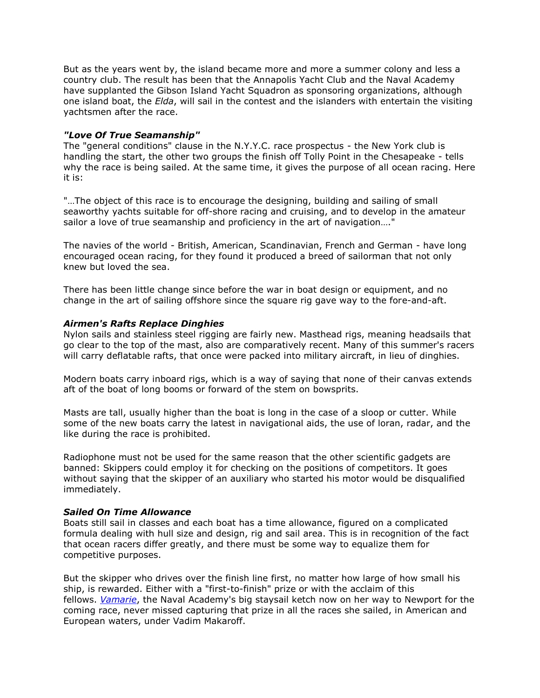But as the years went by, the island became more and more a summer colony and less a country club. The result has been that the Annapolis Yacht Club and the Naval Academy have supplanted the Gibson Island Yacht Squadron as sponsoring organizations, although one island boat, the *Elda*, will sail in the contest and the islanders with entertain the visiting yachtsmen after the race.

## *"Love Of True Seamanship"*

The "general conditions" clause in the N.Y.Y.C. race prospectus - the New York club is handling the start, the other two groups the finish off Tolly Point in the Chesapeake - tells why the race is being sailed. At the same time, it gives the purpose of all ocean racing. Here it is:

"…The object of this race is to encourage the designing, building and sailing of small seaworthy yachts suitable for off-shore racing and cruising, and to develop in the amateur sailor a love of true seamanship and proficiency in the art of navigation…."

The navies of the world - British, American, Scandinavian, French and German - have long encouraged ocean racing, for they found it produced a breed of sailorman that not only knew but loved the sea.

There has been little change since before the war in boat design or equipment, and no change in the art of sailing offshore since the square rig gave way to the fore-and-aft.

## *Airmen's Rafts Replace Dinghies*

Nylon sails and stainless steel rigging are fairly new. Masthead rigs, meaning headsails that go clear to the top of the mast, also are comparatively recent. Many of this summer's racers will carry deflatable rafts, that once were packed into military aircraft, in lieu of dinghies.

Modern boats carry inboard rigs, which is a way of saying that none of their canvas extends aft of the boat of long booms or forward of the stem on bowsprits.

Masts are tall, usually higher than the boat is long in the case of a sloop or cutter. While some of the new boats carry the latest in navigational aids, the use of loran, radar, and the like during the race is prohibited.

Radiophone must not be used for the same reason that the other scientific gadgets are banned: Skippers could employ it for checking on the positions of competitors. It goes without saying that the skipper of an auxiliary who started his motor would be disqualified immediately.

#### *Sailed On Time Allowance*

Boats still sail in classes and each boat has a time allowance, figured on a complicated formula dealing with hull size and design, rig and sail area. This is in recognition of the fact that ocean racers differ greatly, and there must be some way to equalize them for competitive purposes.

But the skipper who drives over the finish line first, no matter how large of how small his ship, is rewarded. Either with a "first-to-finish" prize or with the acclaim of this fellows. *[Vamarie](file://ayc-main/h/Extra%20Space/Communications%20Archive/race.annapolisyc.org/annapolisnewport/history.htm%23Note)*, the Naval Academy's big staysail ketch now on her way to Newport for the coming race, never missed capturing that prize in all the races she sailed, in American and European waters, under Vadim Makaroff.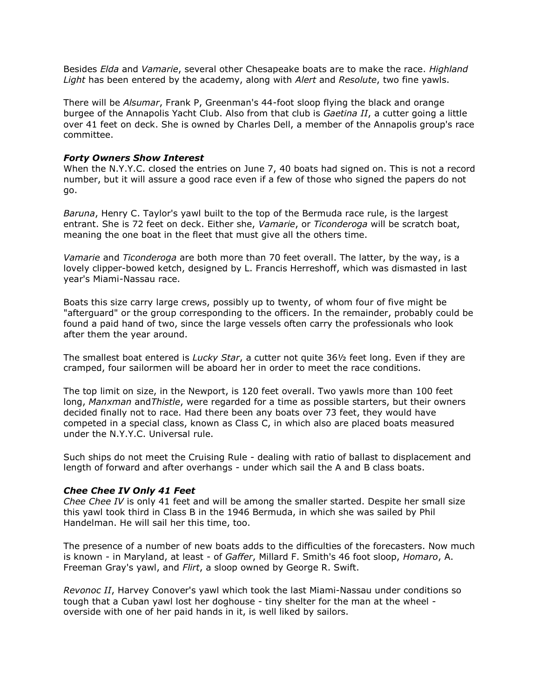Besides *Elda* and *Vamarie*, several other Chesapeake boats are to make the race. *Highland Light* has been entered by the academy, along with *Alert* and *Resolute*, two fine yawls.

There will be *Alsumar*, Frank P, Greenman's 44-foot sloop flying the black and orange burgee of the Annapolis Yacht Club. Also from that club is *Gaetina II*, a cutter going a little over 41 feet on deck. She is owned by Charles Dell, a member of the Annapolis group's race committee.

#### *Forty Owners Show Interest*

When the N.Y.Y.C. closed the entries on June 7, 40 boats had signed on. This is not a record number, but it will assure a good race even if a few of those who signed the papers do not go.

*Baruna*, Henry C. Taylor's yawl built to the top of the Bermuda race rule, is the largest entrant. She is 72 feet on deck. Either she, *Vamarie*, or *Ticonderoga* will be scratch boat, meaning the one boat in the fleet that must give all the others time.

*Vamarie* and *Ticonderoga* are both more than 70 feet overall. The latter, by the way, is a lovely clipper-bowed ketch, designed by L. Francis Herreshoff, which was dismasted in last year's Miami-Nassau race.

Boats this size carry large crews, possibly up to twenty, of whom four of five might be "afterguard" or the group corresponding to the officers. In the remainder, probably could be found a paid hand of two, since the large vessels often carry the professionals who look after them the year around.

The smallest boat entered is *Lucky Star*, a cutter not quite 36½ feet long. Even if they are cramped, four sailormen will be aboard her in order to meet the race conditions.

The top limit on size, in the Newport, is 120 feet overall. Two yawls more than 100 feet long, *Manxman* and*Thistle*, were regarded for a time as possible starters, but their owners decided finally not to race. Had there been any boats over 73 feet, they would have competed in a special class, known as Class C, in which also are placed boats measured under the N.Y.Y.C. Universal rule.

Such ships do not meet the Cruising Rule - dealing with ratio of ballast to displacement and length of forward and after overhangs - under which sail the A and B class boats.

# *Chee Chee IV Only 41 Feet*

*Chee Chee IV* is only 41 feet and will be among the smaller started. Despite her small size this yawl took third in Class B in the 1946 Bermuda, in which she was sailed by Phil Handelman. He will sail her this time, too.

The presence of a number of new boats adds to the difficulties of the forecasters. Now much is known - in Maryland, at least - of *Gaffer*, Millard F. Smith's 46 foot sloop, *Homaro*, A. Freeman Gray's yawl, and *Flirt*, a sloop owned by George R. Swift.

*Revonoc II*, Harvey Conover's yawl which took the last Miami-Nassau under conditions so tough that a Cuban yawl lost her doghouse - tiny shelter for the man at the wheel overside with one of her paid hands in it, is well liked by sailors.